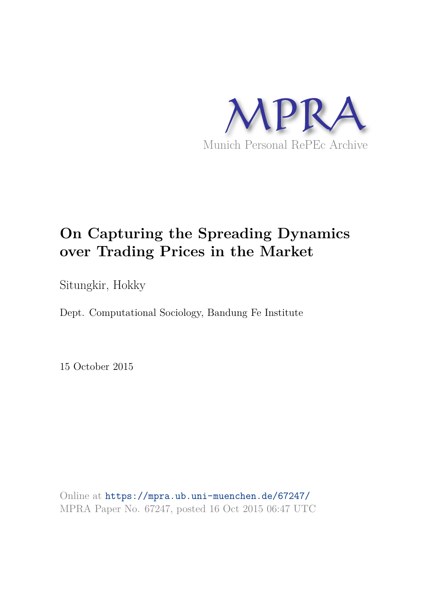

# **On Capturing the Spreading Dynamics over Trading Prices in the Market**

Situngkir, Hokky

Dept. Computational Sociology, Bandung Fe Institute

15 October 2015

Online at https://mpra.ub.uni-muenchen.de/67247/ MPRA Paper No. 67247, posted 16 Oct 2015 06:47 UTC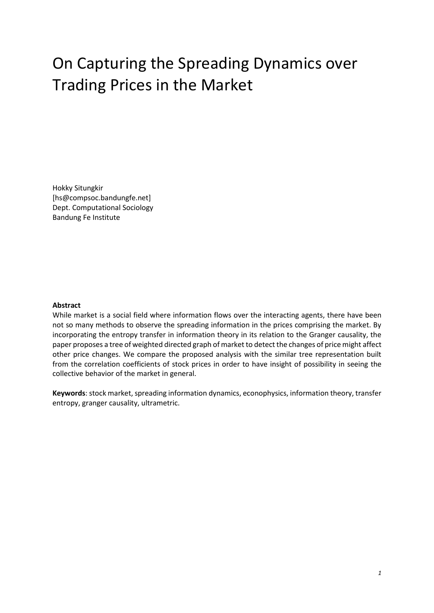# On Capturing the Spreading Dynamics over Trading Prices in the Market

Hokky Situngkir [hs@compsoc.bandungfe.net] Dept. Computational Sociology Bandung Fe Institute

#### **Abstract**

While market is a social field where information flows over the interacting agents, there have been not so many methods to observe the spreading information in the prices comprising the market. By incorporating the entropy transfer in information theory in its relation to the Granger causality, the paper proposes a tree of weighted directed graph of market to detect the changes of price might affect other price changes. We compare the proposed analysis with the similar tree representation built from the correlation coefficients of stock prices in order to have insight of possibility in seeing the collective behavior of the market in general.

**Keywords**: stock market, spreading information dynamics, econophysics, information theory, transfer entropy, granger causality, ultrametric.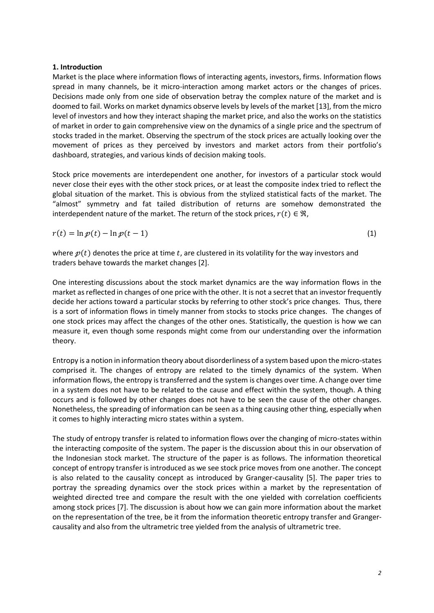### **1. Introduction**

Market is the place where information flows of interacting agents, investors, firms. Information flows spread in many channels, be it micro-interaction among market actors or the changes of prices. Decisions made only from one side of observation betray the complex nature of the market and is doomed to fail. Works on market dynamics observe levels by levels of the market [13], from the micro level of investors and how they interact shaping the market price, and also the works on the statistics of market in order to gain comprehensive view on the dynamics of a single price and the spectrum of stocks traded in the market. Observing the spectrum of the stock prices are actually looking over the movement of prices as they perceived by investors and market actors from their portfolio's dashboard, strategies, and various kinds of decision making tools.

Stock price movements are interdependent one another, for investors of a particular stock would never close their eyes with the other stock prices, or at least the composite index tried to reflect the global situation of the market. This is obvious from the stylized statistical facts of the market. The "almost" symmetry and fat tailed distribution of returns are somehow demonstrated the interdependent nature of the market. The return of the stock prices,  $r(t) \in \mathcal{R}$ ,

$$
r(t) = \ln \mathcal{p}(t) - \ln \mathcal{p}(t-1) \tag{1}
$$

where  $p(t)$  denotes the price at time t, are clustered in its volatility for the way investors and traders behave towards the market changes [2].

One interesting discussions about the stock market dynamics are the way information flows in the market as reflected in changes of one price with the other. It is not a secret that an investor frequently decide her actions toward a particular stocks by referring to other stock's price changes. Thus, there is a sort of information flows in timely manner from stocks to stocks price changes. The changes of one stock prices may affect the changes of the other ones. Statistically, the question is how we can measure it, even though some responds might come from our understanding over the information theory.

Entropy is a notion in information theory about disorderliness of a system based upon the micro-states comprised it. The changes of entropy are related to the timely dynamics of the system. When information flows, the entropy is transferred and the system is changes over time. A change over time in a system does not have to be related to the cause and effect within the system, though. A thing occurs and is followed by other changes does not have to be seen the cause of the other changes. Nonetheless, the spreading of information can be seen as a thing causing other thing, especially when it comes to highly interacting micro states within a system.

The study of entropy transfer is related to information flows over the changing of micro-states within the interacting composite of the system. The paper is the discussion about this in our observation of the Indonesian stock market. The structure of the paper is as follows. The information theoretical concept of entropy transfer is introduced as we see stock price moves from one another. The concept is also related to the causality concept as introduced by Granger-causality [5]. The paper tries to portray the spreading dynamics over the stock prices within a market by the representation of weighted directed tree and compare the result with the one yielded with correlation coefficients among stock prices [7]. The discussion is about how we can gain more information about the market on the representation of the tree, be it from the information theoretic entropy transfer and Grangercausality and also from the ultrametric tree yielded from the analysis of ultrametric tree.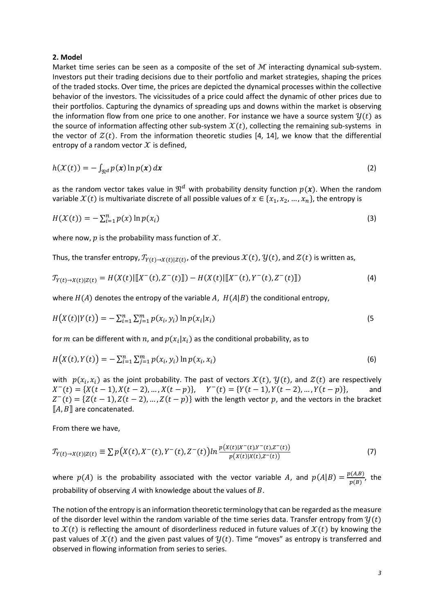#### **2. Model**

Market time series can be seen as a composite of the set of  $M$  interacting dynamical sub-system. Investors put their trading decisions due to their portfolio and market strategies, shaping the prices of the traded stocks. Over time, the prices are depicted the dynamical processes within the collective behavior of the investors. The vicissitudes of a price could affect the dynamic of other prices due to their portfolios. Capturing the dynamics of spreading ups and downs within the market is observing the information flow from one price to one another. For instance we have a source system  $\mathcal{Y}(t)$  as the source of information affecting other sub-system  $\mathcal{X}(t)$ , collecting the remaining sub-systems in the vector of  $\mathcal{Z}(t)$ . From the information theoretic studies [4, 14], we know that the differential entropy of a random vector  $\mathcal X$  is defined,

$$
h(\mathcal{X}(t)) = -\int_{\mathfrak{N}^d} p(x) \ln p(x) dx \tag{2}
$$

as the random vector takes value in  $\mathfrak{R}^d$  with probability density function  $p(x)$ . When the random variable  $\mathcal{X}(t)$  is multivariate discrete of all possible values of  $x \in \{x_1, x_2, ..., x_n\}$ , the entropy is

$$
H(\mathcal{X}(t)) = -\sum_{i=1}^{n} p(x) \ln p(x_i)
$$
\n(3)

where now, p is the probability mass function of  $\mathcal{X}$ .

Thus, the transfer entropy,  $\mathcal{F}_{Y(t)\to X(t)|Z(t)}$ , of the previous  $\mathcal{X}(t)$ ,  $\mathcal{Y}(t)$ , and  $Z(t)$  is written as,

$$
\mathcal{T}_{Y(t)\to X(t)|Z(t)} = H(X(t)|[X^-(t), Z^-(t)]) - H(X(t)|[X^-(t), Y^-(t), Z^-(t)]) \tag{4}
$$

where  $H(A)$  denotes the entropy of the variable A,  $H(A|B)$  the conditional entropy,

$$
H(X(t)|Y(t)) = -\sum_{i=1}^{n} \sum_{j=1}^{m} p(x_i, y_i) \ln p(x_i|x_i)
$$
\n(5)

for  $m$  can be different with  $n$ , and  $p(x_i|x_i)$  as the conditional probability, as to

$$
H(X(t), Y(t)) = -\sum_{i=1}^{n} \sum_{j=1}^{m} p(x_i, y_i) \ln p(x_i, x_i)
$$
\n(6)

with  $p(x_i, x_i)$  as the joint probability. The past of vectors  $\mathcal{X}(t)$ ,  $\mathcal{Y}(t)$ , and  $\mathcal{Z}(t)$  are respectively  $X^-(t) = \{X(t-1), X(t-2), ..., X(t-p)\}, Y^-(t) = \{Y(t-1), Y(t-2), ..., Y(t-p)\}, \qquad$  and  $Z^-(t) = \{Z(t-1), Z(t-2), ..., Z(t-p)\}\}$  with the length vector p, and the vectors in the bracket  $\llbracket A, B \rrbracket$  are concatenated.

From there we have,

$$
\mathcal{T}_{Y(t)\to X(t)|Z(t)} \equiv \sum p(X(t), X^-(t), Y^-(t), Z^-(t)) \ln \frac{p(X(t)|X^-(t), Y^-(t), Z^-(t))}{p(X(t)|X(t), Z^-(t))}
$$
\n(7)

where  $p(A)$  is the probability associated with the vector variable A, and  $p(A|B) = \frac{p(A,B)}{p(B)}$ , the probability of observing  $A$  with knowledge about the values of  $B$ .

The notion of the entropy is an information theoretic terminology that can be regarded as the measure of the disorder level within the random variable of the time series data. Transfer entropy from  $y(t)$ to  $\mathcal{X}(t)$  is reflecting the amount of disorderliness reduced in future values of  $\mathcal{X}(t)$  by knowing the past values of  $\mathcal{X}(t)$  and the given past values of  $\mathcal{Y}(t)$ . Time "moves" as entropy is transferred and observed in flowing information from series to series.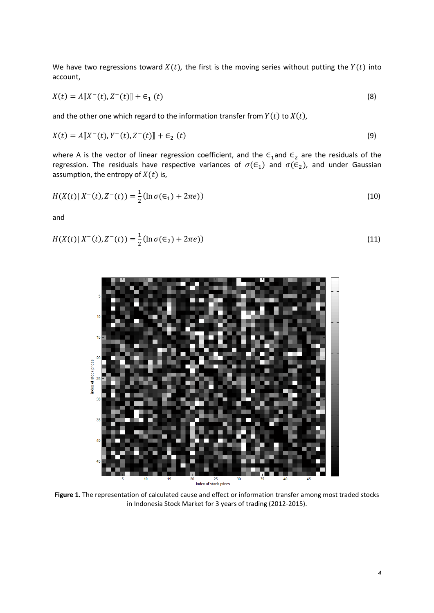We have two regressions toward  $X(t)$ , the first is the moving series without putting the  $Y(t)$  into account,

$$
X(t) = A[[X^-(t), Z^-(t)]] + \epsilon_1(t)
$$
\n(8)

and the other one which regard to the information transfer from  $Y(t)$  to  $X(t)$ ,

$$
X(t) = A[[X^-(t), Y^-(t), Z^-(t)]] + \epsilon_2(t)
$$
\n(9)

where A is the vector of linear regression coefficient, and the  $\epsilon_1$ and  $\epsilon_2$  are the residuals of the regression. The residuals have respective variances of  $\sigma(\epsilon_1)$  and  $\sigma(\epsilon_2)$ , and under Gaussian assumption, the entropy of  $X(t)$  is,

$$
H(X(t)|X^{-}(t),Z^{-}(t)) = \frac{1}{2}(\ln \sigma(\epsilon_{1}) + 2\pi e))
$$
\n(10)

and

$$
H(X(t)|X^{-}(t),Z^{-}(t)) = \frac{1}{2}(\ln \sigma(\epsilon_2) + 2\pi e))
$$
\n(11)



**Figure 1.** The representation of calculated cause and effect or information transfer among most traded stocks in Indonesia Stock Market for 3 years of trading (2012-2015).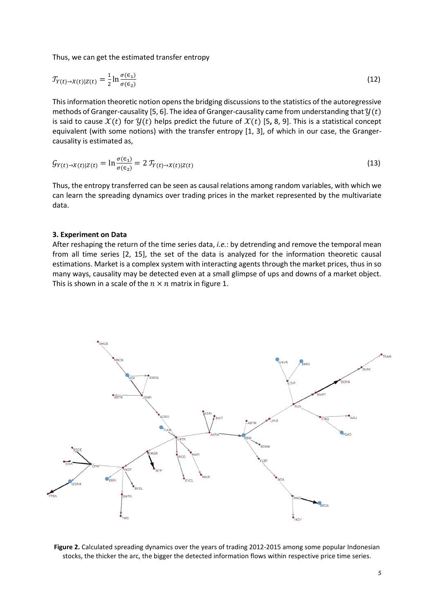Thus, we can get the estimated transfer entropy

$$
\mathcal{T}_{Y(t)\to X(t)|Z(t)} = \frac{1}{2} \ln \frac{\sigma(\epsilon_1)}{\sigma(\epsilon_2)} \tag{12}
$$

This information theoretic notion opens the bridging discussions to the statistics of the autoregressive methods of Granger-causality [5, 6]. The idea of Granger-causality came from understanding that  $y(t)$ is said to cause  $\mathcal{X}(t)$  for  $\mathcal{Y}(t)$  helps predict the future of  $\mathcal{X}(t)$  [5, 8, 9]. This is a statistical concept equivalent (with some notions) with the transfer entropy [1, 3], of which in our case, the Grangercausality is estimated as,

$$
\mathcal{G}_{Y(t)\to X(t)|Z(t)} = \ln \frac{\sigma(\epsilon_1)}{\sigma(\epsilon_2)} = 2 \, \mathcal{T}_{Y(t)\to X(t)|Z(t)} \tag{13}
$$

Thus, the entropy transferred can be seen as causal relations among random variables, with which we can learn the spreading dynamics over trading prices in the market represented by the multivariate data.

#### **3. Experiment on Data**

After reshaping the return of the time series data, *i.e.*: by detrending and remove the temporal mean from all time series [2, 15], the set of the data is analyzed for the information theoretic causal estimations. Market is a complex system with interacting agents through the market prices, thus in so many ways, causality may be detected even at a small glimpse of ups and downs of a market object. This is shown in a scale of the  $n \times n$  matrix in figure 1.



**Figure 2.** Calculated spreading dynamics over the years of trading 2012-2015 among some popular Indonesian stocks, the thicker the arc, the bigger the detected information flows within respective price time series.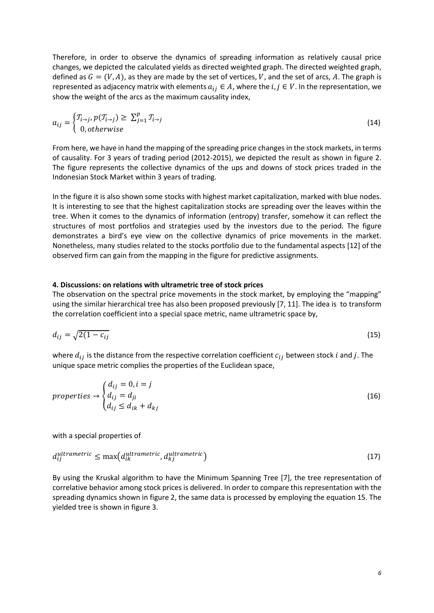Therefore, in order to observe the dynamics of spreading information as relatively causal price changes, we depicted the calculated yields as directed weighted graph. The directed weighted graph, defined as  $G = (V, A)$ , as they are made by the set of vertices, V, and the set of arcs, A. The graph is represented as adjacency matrix with elements  $a_{ij} \in A$ , where the  $i, j \in V$ . In the representation, we show the weight of the arcs as the maximum causality index,

$$
a_{ij} = \begin{cases} T_{i \to j}, p(T_{i \to j}) \ge \sum_{j=1}^{p} T_{i \to j} \\ 0, otherwise \end{cases}
$$
 (14)

From here, we have in hand the mapping of the spreading price changes in the stock markets, in terms of causality. For 3 years of trading period (2012-2015), we depicted the result as shown in figure 2. The figure represents the collective dynamics of the ups and downs of stock prices traded in the Indonesian Stock Market within 3 years of trading.

In the figure it is also shown some stocks with highest market capitalization, marked with blue nodes. It is interesting to see that the highest capitalization stocks are spreading over the leaves within the tree. When it comes to the dynamics of information (entropy) transfer, somehow it can reflect the structures of most portfolios and strategies used by the investors due to the period. The figure demonstrates a bird's eye view on the collective dynamics of price movements in the market. Nonetheless, many studies related to the stocks portfolio due to the fundamental aspects [12] of the observed firm can gain from the mapping in the figure for predictive assignments.

#### **4. Discussions: on relations with ultrametric tree of stock prices**

The observation on the spectral price movements in the stock market, by employing the "mapping" using the similar hierarchical tree has also been proposed previously [7, 11]. The idea is to transform the correlation coefficient into a special space metric, name ultrametric space by,

$$
d_{ij} = \sqrt{2(1 - c_{ij})} \tag{15}
$$

where  $d_{ij}$  is the distance from the respective correlation coefficient  $c_{ij}$  between stock *i* and *j*. The unique space metric complies the properties of the Euclidean space,

$$
properties \rightarrow \begin{cases} d_{ij} = 0, i = j \\ d_{ij} = d_{ji} \\ d_{ij} \le d_{ik} + d_{kj} \end{cases}
$$
\n
$$
(16)
$$

with a special properties of

$$
d_{ij}^{ultrametric} \le \max\left(d_{ik}^{ultrametric}, d_{kj}^{ultrametric}\right) \tag{17}
$$

By using the Kruskal algorithm to have the Minimum Spanning Tree [7], the tree representation of correlative behavior among stock prices is delivered. In order to compare this representation with the spreading dynamics shown in figure 2, the same data is processed by employing the equation 15. The yielded tree is shown in figure 3.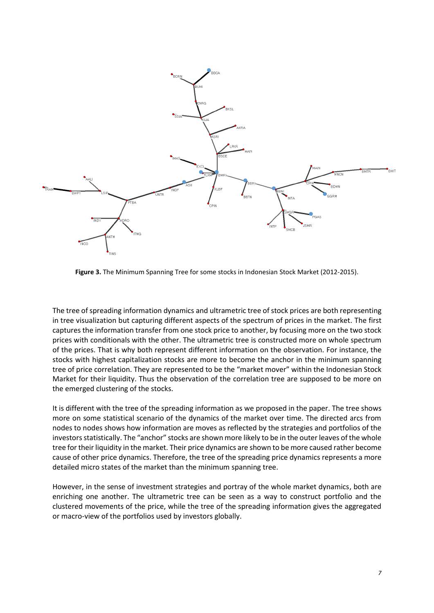

**Figure 3.** The Minimum Spanning Tree for some stocks in Indonesian Stock Market (2012-2015).

The tree of spreading information dynamics and ultrametric tree of stock prices are both representing in tree visualization but capturing different aspects of the spectrum of prices in the market. The first captures the information transfer from one stock price to another, by focusing more on the two stock prices with conditionals with the other. The ultrametric tree is constructed more on whole spectrum of the prices. That is why both represent different information on the observation. For instance, the stocks with highest capitalization stocks are more to become the anchor in the minimum spanning tree of price correlation. They are represented to be the "market mover" within the Indonesian Stock Market for their liquidity. Thus the observation of the correlation tree are supposed to be more on the emerged clustering of the stocks.

It is different with the tree of the spreading information as we proposed in the paper. The tree shows more on some statistical scenario of the dynamics of the market over time. The directed arcs from nodes to nodes shows how information are moves as reflected by the strategies and portfolios of the investors statistically. The "anchor" stocks are shown more likely to be in the outer leaves of the whole tree for their liquidity in the market. Their price dynamics are shown to be more caused rather become cause of other price dynamics. Therefore, the tree of the spreading price dynamics represents a more detailed micro states of the market than the minimum spanning tree.

However, in the sense of investment strategies and portray of the whole market dynamics, both are enriching one another. The ultrametric tree can be seen as a way to construct portfolio and the clustered movements of the price, while the tree of the spreading information gives the aggregated or macro-view of the portfolios used by investors globally.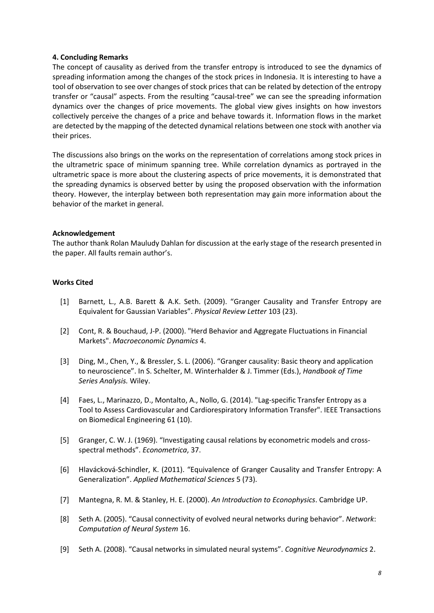# **4. Concluding Remarks**

The concept of causality as derived from the transfer entropy is introduced to see the dynamics of spreading information among the changes of the stock prices in Indonesia. It is interesting to have a tool of observation to see over changes of stock prices that can be related by detection of the entropy transfer or "causal" aspects. From the resulting "causal-tree" we can see the spreading information dynamics over the changes of price movements. The global view gives insights on how investors collectively perceive the changes of a price and behave towards it. Information flows in the market are detected by the mapping of the detected dynamical relations between one stock with another via their prices.

The discussions also brings on the works on the representation of correlations among stock prices in the ultrametric space of minimum spanning tree. While correlation dynamics as portrayed in the ultrametric space is more about the clustering aspects of price movements, it is demonstrated that the spreading dynamics is observed better by using the proposed observation with the information theory. However, the interplay between both representation may gain more information about the behavior of the market in general.

# **Acknowledgement**

The author thank Rolan Mauludy Dahlan for discussion at the early stage of the research presented in the paper. All faults remain author's.

### **Works Cited**

- [1] Barnett, L., A.B. Barett & A.K. Seth. (2009). "Granger Causality and Transfer Entropy are Equivalent for Gaussian Variables". *Physical Review Letter* 103 (23).
- [2] Cont, R. & Bouchaud, J-P. (2000). "Herd Behavior and Aggregate Fluctuations in Financial Markets". *Macroeconomic Dynamics* 4.
- [3] Ding, M., Chen, Y., & Bressler, S. L. (2006). "Granger causality: Basic theory and application to neuroscience". In S. Schelter, M. Winterhalder & J. Timmer (Eds.), *Handbook of Time Series Analysis.* Wiley.
- [4] Faes, L., Marinazzo, D., Montalto, A., Nollo, G. (2014). "Lag-specific Transfer Entropy as a Tool to Assess Cardiovascular and Cardiorespiratory Information Transfer". IEEE Transactions on Biomedical Engineering 61 (10).
- [5] Granger, C. W. J. (1969). "Investigating causal relations by econometric models and crossspectral methods". *Econometrica*, 37.
- [6] Hlavácková-Schindler, K. (2011). "Equivalence of Granger Causality and Transfer Entropy: A Generalization". *Applied Mathematical Sciences* 5 (73).
- [7] Mantegna, R. M. & Stanley, H. E. (2000). *An Introduction to Econophysics*. Cambridge UP.
- [8] Seth A. (2005). "Causal connectivity of evolved neural networks during behavior". *Network*: *Computation of Neural System* 16.
- [9] Seth A. (2008). "Causal networks in simulated neural systems". *Cognitive Neurodynamics* 2.